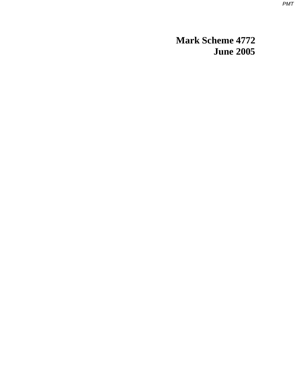*PMT*

**Mark Scheme 4772 June 2005**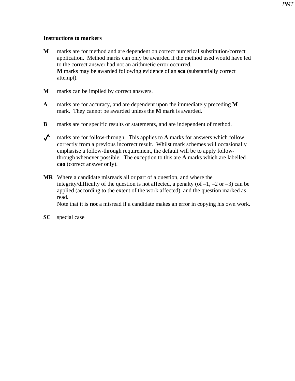*PMT*

## **Instructions to markers**

- **M** marks are for method and are dependent on correct numerical substitution/correct application. Method marks can only be awarded if the method used would have led to the correct answer had not an arithmetic error occurred. **M** marks may be awarded following evidence of an **sca** (substantially correct attempt).
- **M** marks can be implied by correct answers.
- **A** marks are for accuracy, and are dependent upon the immediately preceding **M** mark. They cannot be awarded unless the **M** mark is awarded.
- **B** marks are for specific results or statements, and are independent of method.
- marks are for follow-through. This applies to **A** marks for answers which follow correctly from a previous incorrect result. Whilst mark schemes will occasionally emphasise a follow-through requirement, the default will be to apply followthrough whenever possible. The exception to this are **A** marks which are labelled **cao** (correct answer only).
- **MR** Where a candidate misreads all or part of a question, and where the integrity/difficulty of the question is not affected, a penalty (of  $-1$ ,  $-2$  or  $-3$ ) can be applied (according to the extent of the work affected), and the question marked as read.

Note that it is **not** a misread if a candidate makes an error in copying his own work.

**SC** special case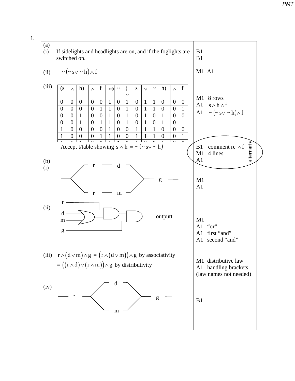

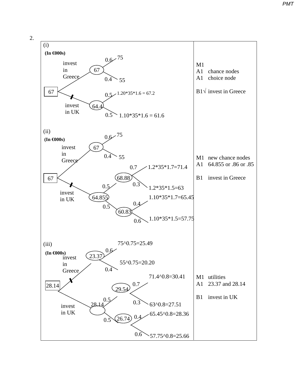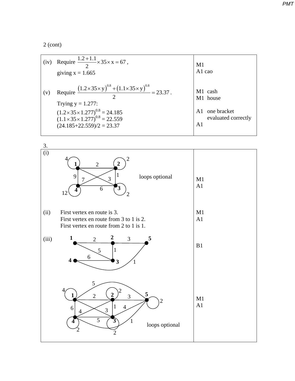2 (cont)

| (iv) | Require $\frac{1.2 + 1.1}{2} \times 35 \times x = 67$ ,<br>giving $x = 1.665$                                                                                                                                                                                | M1<br>A1 cao                                                                                  |
|------|--------------------------------------------------------------------------------------------------------------------------------------------------------------------------------------------------------------------------------------------------------------|-----------------------------------------------------------------------------------------------|
| (v)  | Require $\frac{(1.2 \times 35 \times y)^{0.8} + (1.1 \times 35 \times y)^{0.8}}{23.37} = 23.37$ .<br>Trying $y = 1.277$ :<br>$(1.2 \times 35 \times 1.277)^{0.8} = 24.185$<br>$(1.1 \times 35 \times 1.277)^{0.8} = 22.559$<br>$(24.185 + 22.559)/2 = 23.37$ | M1 cash<br>M1 house<br>one bracket<br>A <sub>1</sub><br>evaluated correctly<br>A <sub>1</sub> |



*PMT*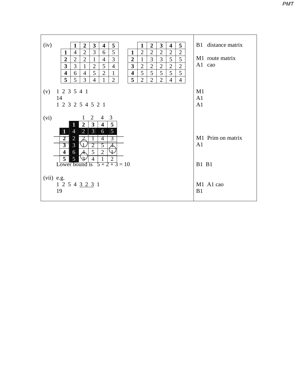| (iv)<br>$\mathbf{3}$<br>5<br>$\overline{2}$<br>3<br>5<br>$\mathbf{1}$<br>$\overline{2}$<br>$\mathbf{1}$<br>$\overline{\mathbf{4}}$<br>$\overline{\mathbf{4}}$                        | B1 distance matrix |
|--------------------------------------------------------------------------------------------------------------------------------------------------------------------------------------|--------------------|
| 5<br>3<br>$\overline{2}$<br>$\mathbf{2}$<br>$\overline{2}$<br>$\overline{2}$<br>$\overline{2}$<br>4<br>$\overline{2}$<br>$\mathbf{1}$<br>6<br>$\mathbf{1}$                           |                    |
| 5<br>3<br>3<br>5<br>$\overline{2}$<br>$\overline{2}$<br>$\overline{2}$<br>$\overline{2}$<br>3<br>$\mathbf{1}$<br>4<br>1                                                              | M1 route matrix    |
| 3<br>5<br>$\overline{2}$<br>$\overline{2}$<br>3<br>$\overline{2}$<br>$\overline{4}$<br>$\overline{\mathbf{3}}$<br>$\overline{2}$<br>$\overline{2}$<br>$\mathfrak{2}$<br>$\mathbf{1}$ | A1 cao             |
| 5<br>5<br>5<br>5<br>5<br>$\overline{2}$<br>$\mathbf{1}$<br>5<br>$\overline{\mathbf{4}}$<br>6<br>$\overline{\mathbf{4}}$<br>$\overline{4}$                                            |                    |
| 5<br>5<br>3<br>5<br>$\overline{4}$<br>$\overline{2}$<br>$\overline{2}$<br>$\overline{2}$<br>$\overline{2}$<br>$\overline{4}$<br>$\overline{4}$<br>1                                  |                    |
|                                                                                                                                                                                      |                    |
| 1 2 3 5 4 1<br>(v)                                                                                                                                                                   | M1                 |
| 14                                                                                                                                                                                   | A <sub>1</sub>     |
| 1 2 3 2 5 4 5 2 1                                                                                                                                                                    | A <sub>1</sub>     |
| $4 \quad 3$<br>(vi)<br>2<br>$\mathbf{I}$                                                                                                                                             |                    |
| 5<br>$\overline{\mathbf{3}}$<br>$\overline{2}$<br>$\overline{\mathbf{4}}$<br>1                                                                                                       |                    |
| $\overline{2}$<br>3<br>$\overline{5}$<br>$\overline{4}$<br>$\mathbf{1}$<br>6                                                                                                         |                    |
| $\overline{2}$<br>$\overline{2}$<br>4<br>3                                                                                                                                           | M1 Prim on matrix  |
| $\overline{3}$<br>$\overline{3}$<br>$\overline{2}$<br>\ 1<br>5                                                                                                                       | A <sub>1</sub>     |
| 5<br>$\overline{2}$<br>$\sqrt{1}$<br>$\overline{\mathbf{4}}$<br>6                                                                                                                    |                    |
| $\overline{5}$<br>$\overline{\mathcal{F}}$<br>$\overline{2}$<br>5<br>$\overline{4}$                                                                                                  |                    |
| $5 + 2 + 3 = 10$<br>Lower bound is                                                                                                                                                   | <b>B1 B1</b>       |
|                                                                                                                                                                                      |                    |
| (vii) e.g.                                                                                                                                                                           |                    |
| 1 2 5 4 3 2 3 1                                                                                                                                                                      | M1 A1 cao          |
| 19                                                                                                                                                                                   | B1                 |
|                                                                                                                                                                                      |                    |